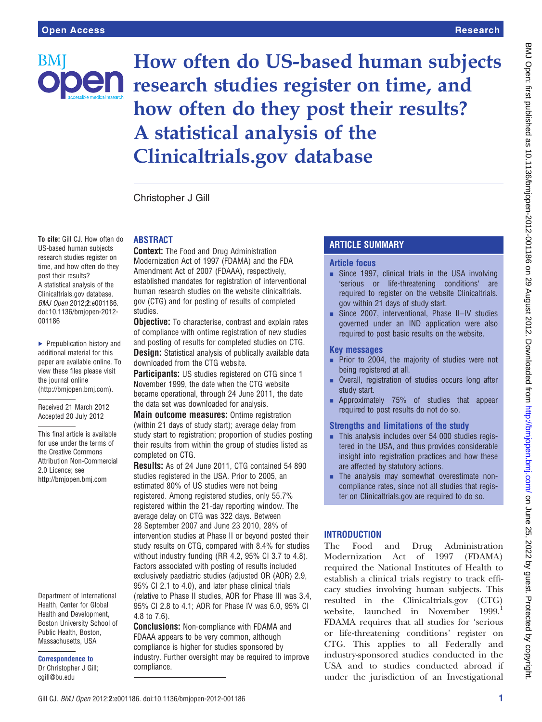BM

To cite: Gill CJ. How often do US-based human subjects research studies register on time, and how often do they post their results? A statistical analysis of the Clinicaltrials.gov database. BMJ Open 2012;2:e001186. doi:10.1136/bmjopen-2012-

▶ Prepublication history and additional material for this paper are available online. To view these files please visit the journal online [\(http://bmjopen.bmj.com\)](http://bmjopen.bmj.com). Received 21 March 2012 Accepted 20 July 2012 This final article is available for use under the terms of the Creative Commons Attribution Non-Commercial

001186

2.0 Licence; see <http://bmjopen.bmj.com>

Department of International Health, Center for Global Health and Development, Boston University School of Public Health, Boston, Massachusetts, USA Correspondence to Dr Christopher J Gill;

# How often do US-based human subjects **Den** research studies register on time, and how often do they post their results? A statistical analysis of the Clinicaltrials.gov database

Christopher J Gill

## ABSTRACT

**Context:** The Food and Drug Administration Modernization Act of 1997 (FDAMA) and the FDA Amendment Act of 2007 (FDAAA), respectively, established mandates for registration of interventional human research studies on the website clinicaltrials. gov (CTG) and for posting of results of completed studies.

**Objective:** To characterise, contrast and explain rates of compliance with ontime registration of new studies and posting of results for completed studies on CTG.

**Design:** Statistical analysis of publically available data downloaded from the CTG website.

Participants: US studies registered on CTG since 1 November 1999, the date when the CTG website became operational, through 24 June 2011, the date the data set was downloaded for analysis.

Main outcome measures: Ontime registration (within 21 days of study start); average delay from study start to registration; proportion of studies posting their results from within the group of studies listed as completed on CTG.

Results: As of 24 June 2011, CTG contained 54 890 studies registered in the USA. Prior to 2005, an estimated 80% of US studies were not being registered. Among registered studies, only 55.7% registered within the 21-day reporting window. The average delay on CTG was 322 days. Between 28 September 2007 and June 23 2010, 28% of intervention studies at Phase II or beyond posted their study results on CTG, compared with 8.4% for studies without industry funding (RR 4.2, 95% CI 3.7 to 4.8). Factors associated with posting of results included exclusively paediatric studies (adjusted OR (AOR) 2.9, 95% CI 2.1 to 4.0), and later phase clinical trials (relative to Phase II studies, AOR for Phase III was 3.4, 95% CI 2.8 to 4.1; AOR for Phase IV was 6.0, 95% CI 4.8 to 7.6).

Conclusions: Non-compliance with FDAMA and FDAAA appears to be very common, although compliance is higher for studies sponsored by industry. Further oversight may be required to improve compliance.

# ARTICLE SUMMARY

## Article focus

- $\blacksquare$  Since 1997, clinical trials in the USA involving 'serious or life-threatening conditions' are required to register on the website Clinicaltrials. gov within 21 days of study start.
- Since 2007, interventional, Phase II–IV studies governed under an IND application were also required to post basic results on the website.

## Key messages

- $\blacksquare$  Prior to 2004, the majority of studies were not being registered at all.
- **Overall, registration of studies occurs long after** study start.
- **•** Approximately 75% of studies that appear required to post results do not do so.

# Strengths and limitations of the study

- **EXECUTE:** This analysis includes over 54 000 studies registered in the USA, and thus provides considerable insight into registration practices and how these are affected by statutory actions.
- The analysis may somewhat overestimate noncompliance rates, since not all studies that register on Clinicaltrials.gov are required to do so.

# **INTRODUCTION**

The Food and Drug Administration Modernization Act of 1997 (FDAMA) required the National Institutes of Health to establish a clinical trials registry to track efficacy studies involving human subjects. This resulted in the Clinicaltrials.gov (CTG) website, launched in November 1999.<sup>1</sup> FDAMA requires that all studies for 'serious or life-threatening conditions' register on CTG. This applies to all Federally and industry-sponsored studies conducted in the USA and to studies conducted abroad if under the jurisdiction of an Investigational

cgill@bu.edu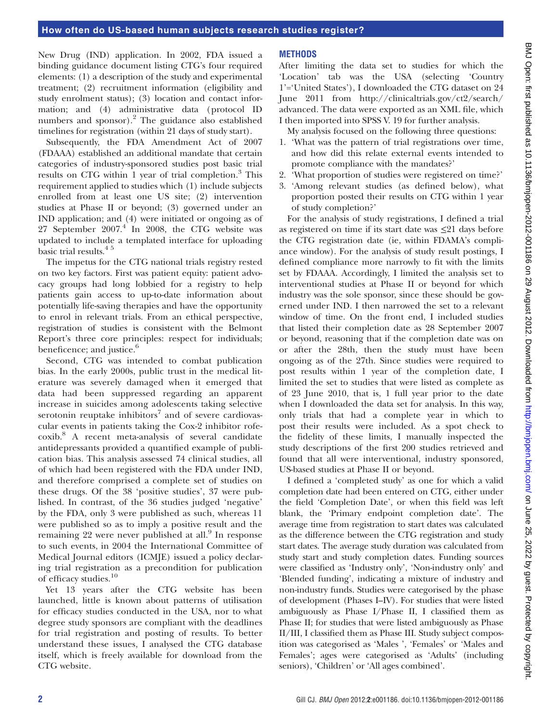New Drug (IND) application. In 2002, FDA issued a binding guidance document listing CTG's four required elements: (1) a description of the study and experimental treatment; (2) recruitment information (eligibility and study enrolment status); (3) location and contact information; and (4) administrative data (protocol ID numbers and sponsor).<sup>2</sup> The guidance also established timelines for registration (within 21 days of study start).

Subsequently, the FDA Amendment Act of 2007 (FDAAA) established an additional mandate that certain categories of industry-sponsored studies post basic trial results on CTG within 1 year of trial completion.<sup>3</sup> This requirement applied to studies which (1) include subjects enrolled from at least one US site; (2) intervention studies at Phase II or beyond; (3) governed under an IND application; and (4) were initiated or ongoing as of 27 September  $2007<sup>4</sup>$  In 2008, the CTG website was updated to include a templated interface for uploading basic trial results.4 5

The impetus for the CTG national trials registry rested on two key factors. First was patient equity: patient advocacy groups had long lobbied for a registry to help patients gain access to up-to-date information about potentially life-saving therapies and have the opportunity to enrol in relevant trials. From an ethical perspective, registration of studies is consistent with the Belmont Report's three core principles: respect for individuals; beneficence; and justice.<sup>6</sup>

Second, CTG was intended to combat publication bias. In the early 2000s, public trust in the medical literature was severely damaged when it emerged that data had been suppressed regarding an apparent increase in suicides among adolescents taking selective serotonin reuptake inhibitors<sup>7</sup> and of severe cardiovascular events in patients taking the Cox-2 inhibitor rofecoxib.<sup>8</sup> A recent meta-analysis of several candidate antidepressants provided a quantified example of publication bias. This analysis assessed 74 clinical studies, all of which had been registered with the FDA under IND, and therefore comprised a complete set of studies on these drugs. Of the 38 'positive studies', 37 were published. In contrast, of the 36 studies judged 'negative' by the FDA, only 3 were published as such, whereas 11 were published so as to imply a positive result and the remaining 22 were never published at all. $9$  In response to such events, in 2004 the International Committee of Medical Journal editors (ICMJE) issued a policy declaring trial registration as a precondition for publication of efficacy studies.<sup>10</sup>

Yet 13 years after the CTG website has been launched, little is known about patterns of utilisation for efficacy studies conducted in the USA, nor to what degree study sponsors are compliant with the deadlines for trial registration and posting of results. To better understand these issues, I analysed the CTG database itself, which is freely available for download from the CTG website.

#### METHODS

After limiting the data set to studies for which the 'Location' tab was the USA (selecting 'Country 1'='United States'), I downloaded the CTG dataset on 24 June 2011 from [http://clinicaltrials.gov/ct2/search/](http://clinicaltrials.gov/ct2/search/advanced) [advanced.](http://clinicaltrials.gov/ct2/search/advanced) The data were exported as an XML file, which I then imported into SPSS V. 19 for further analysis.

My analysis focused on the following three questions:

- 1. 'What was the pattern of trial registrations over time, and how did this relate external events intended to promote compliance with the mandates?'
- 2. 'What proportion of studies were registered on time?'
- 3. 'Among relevant studies (as defined below), what proportion posted their results on CTG within 1 year of study completion?'

For the analysis of study registrations, I defined a trial as registered on time if its start date was ≤21 days before the CTG registration date (ie, within FDAMA's compliance window). For the analysis of study result postings, I defined compliance more narrowly to fit with the limits set by FDAAA. Accordingly, I limited the analysis set to interventional studies at Phase II or beyond for which industry was the sole sponsor, since these should be governed under IND. I then narrowed the set to a relevant window of time. On the front end, I included studies that listed their completion date as 28 September 2007 or beyond, reasoning that if the completion date was on or after the 28th, then the study must have been ongoing as of the 27th. Since studies were required to post results within 1 year of the completion date, I limited the set to studies that were listed as complete as of 23 June 2010, that is, 1 full year prior to the date when I downloaded the data set for analysis. In this way, only trials that had a complete year in which to post their results were included. As a spot check to the fidelity of these limits, I manually inspected the study descriptions of the first 200 studies retrieved and found that all were interventional, industry sponsored, US-based studies at Phase II or beyond.

I defined a 'completed study' as one for which a valid completion date had been entered on CTG, either under the field 'Completion Date', or when this field was left blank, the 'Primary endpoint completion date'. The average time from registration to start dates was calculated as the difference between the CTG registration and study start dates. The average study duration was calculated from study start and study completion dates. Funding sources were classified as 'Industry only', 'Non-industry only' and 'Blended funding', indicating a mixture of industry and non-industry funds. Studies were categorised by the phase of development (Phases I–IV). For studies that were listed ambiguously as Phase I/Phase II, I classified them as Phase II; for studies that were listed ambiguously as Phase II/III, I classified them as Phase III. Study subject composition was categorised as 'Males ', 'Females' or 'Males and Females'; ages were categorised as 'Adults' (including seniors), 'Children' or 'All ages combined'.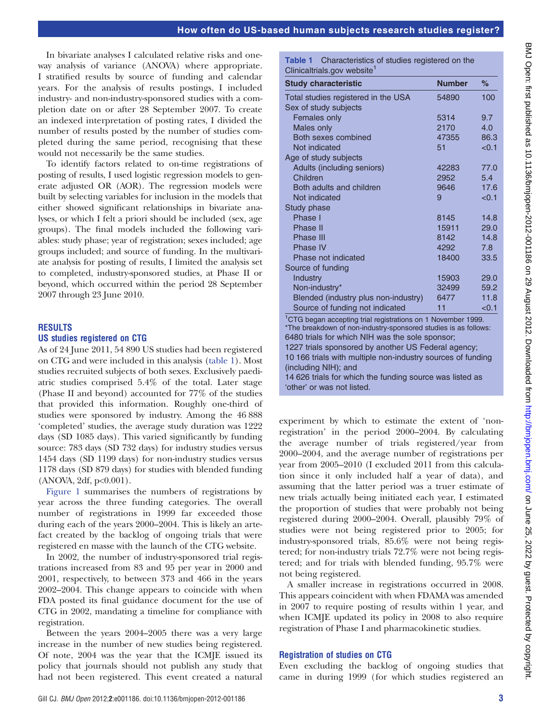In bivariate analyses I calculated relative risks and oneway analysis of variance (ANOVA) where appropriate. I stratified results by source of funding and calendar years. For the analysis of results postings, I included industry- and non-industry-sponsored studies with a completion date on or after 28 September 2007. To create an indexed interpretation of posting rates, I divided the number of results posted by the number of studies completed during the same period, recognising that these would not necessarily be the same studies.

To identify factors related to on-time registrations of posting of results, I used logistic regression models to generate adjusted OR (AOR). The regression models were built by selecting variables for inclusion in the models that either showed significant relationships in bivariate analyses, or which I felt a priori should be included (sex, age groups). The final models included the following variables: study phase; year of registration; sexes included; age groups included; and source of funding. In the multivariate analysis for posting of results, I limited the analysis set to completed, industry-sponsored studies, at Phase II or beyond, which occurred within the period 28 September 2007 through 23 June 2010.

#### RESULTS

#### US studies registered on CTG

As of 24 June 2011, 54 890 US studies had been registered on CTG and were included in this analysis (table 1). Most studies recruited subjects of both sexes. Exclusively paediatric studies comprised 5.4% of the total. Later stage (Phase II and beyond) accounted for 77% of the studies that provided this information. Roughly one-third of studies were sponsored by industry. Among the 46 888 'completed' studies, the average study duration was 1222 days (SD 1085 days). This varied significantly by funding source: 783 days (SD 732 days) for industry studies versus 1454 days (SD 1199 days) for non-industry studies versus 1178 days (SD 879 days) for studies with blended funding  $(ANOVA, 2df, p<0.001).$ 

Figure 1 summarises the numbers of registrations by year across the three funding categories. The overall number of registrations in 1999 far exceeded those during each of the years 2000–2004. This is likely an artefact created by the backlog of ongoing trials that were registered en masse with the launch of the CTG website.

In 2002, the number of industry-sponsored trial registrations increased from 83 and 95 per year in 2000 and 2001, respectively, to between 373 and 466 in the years 2002–2004. This change appears to coincide with when FDA posted its final guidance document for the use of CTG in 2002, mandating a timeline for compliance with registration.

Between the years 2004–2005 there was a very large increase in the number of new studies being registered. Of note, 2004 was the year that the ICMJE issued its policy that journals should not publish any study that had not been registered. This event created a natural Table 1 Characteristics of studies registered on the Clinicaltrials.gov website $1$ 

| <b>Study characteristic</b>                                                                                                                 | <b>Number</b> | %     |
|---------------------------------------------------------------------------------------------------------------------------------------------|---------------|-------|
| Total studies registered in the USA                                                                                                         | 54890         | 100   |
| Sex of study subjects                                                                                                                       |               |       |
| Females only                                                                                                                                | 5314          | 9.7   |
| Males only                                                                                                                                  | 2170          | 4.0   |
| Both sexes combined                                                                                                                         | 47355         | 86.3  |
| Not indicated                                                                                                                               | 51            | < 0.1 |
| Age of study subjects                                                                                                                       |               |       |
| Adults (including seniors)                                                                                                                  | 42283         | 77.0  |
| Children                                                                                                                                    | 2952          | 5.4   |
| Both adults and children                                                                                                                    | 9646          | 17.6  |
| Not indicated                                                                                                                               | 9             | < 0.1 |
| Study phase                                                                                                                                 |               |       |
| Phase I                                                                                                                                     | 8145          | 14.8  |
| Phase II                                                                                                                                    | 15911         | 29.0  |
| Phase III                                                                                                                                   | 8142          | 14.8  |
| <b>Phase IV</b>                                                                                                                             | 4292          | 7.8   |
| Phase not indicated                                                                                                                         | 18400         | 33.5  |
| Source of funding                                                                                                                           |               |       |
| Industry                                                                                                                                    | 15903         | 29.0  |
| Non-industry*                                                                                                                               | 32499         | 59.2  |
| Blended (industry plus non-industry)                                                                                                        | 6477          | 11.8  |
| Source of funding not indicated                                                                                                             | 11            | < 0.1 |
| <sup>1</sup> CTG began accepting trial registrations on 1 November 1999.<br>*The breakdown of non-industry-sponsored studies is as follows: |               |       |
| 6480 triple for which NIU was the sole epenger                                                                                              |               |       |

6480 trials for which NIH was the sole sponsor; 1227 trials sponsored by another US Federal agency; 10 166 trials with multiple non-industry sources of funding (including NIH); and

14 626 trials for which the funding source was listed as 'other' or was not listed.

experiment by which to estimate the extent of 'nonregistration' in the period 2000–2004. By calculating the average number of trials registered/year from 2000–2004, and the average number of registrations per year from 2005–2010 (I excluded 2011 from this calculation since it only included half a year of data), and assuming that the latter period was a truer estimate of new trials actually being initiated each year, I estimated the proportion of studies that were probably not being registered during 2000–2004. Overall, plausibly 79% of studies were not being registered prior to 2005; for industry-sponsored trials, 85.6% were not being registered; for non-industry trials 72.7% were not being registered; and for trials with blended funding, 95.7% were not being registered.

A smaller increase in registrations occurred in 2008. This appears coincident with when FDAMA was amended in 2007 to require posting of results within 1 year, and when ICMJE updated its policy in 2008 to also require registration of Phase I and pharmacokinetic studies.

#### Registration of studies on CTG

Even excluding the backlog of ongoing studies that came in during 1999 (for which studies registered an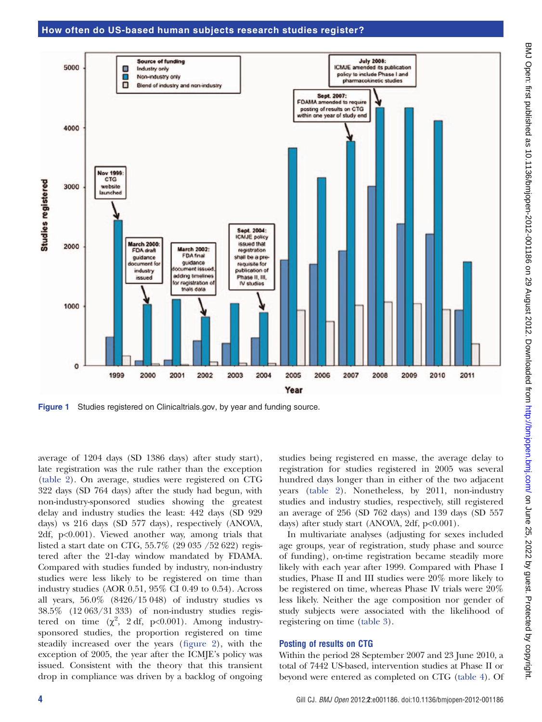

Figure 1 Studies registered on Clinicaltrials.gov, by year and funding source.

average of 1204 days (SD 1386 days) after study start), late registration was the rule rather than the exception (table 2). On average, studies were registered on CTG 322 days (SD 764 days) after the study had begun, with non-industry-sponsored studies showing the greatest delay and industry studies the least: 442 days (SD 929 days) vs 216 days (SD 577 days), respectively (ANOVA, 2df, p<0.001). Viewed another way, among trials that listed a start date on CTG, 55.7% (29 035 /52 622) registered after the 21-day window mandated by FDAMA. Compared with studies funded by industry, non-industry studies were less likely to be registered on time than industry studies (AOR 0.51, 95% CI 0.49 to 0.54). Across all years, 56.0% (8426/15 048) of industry studies vs 38.5% (12 063/31 333) of non-industry studies registered on time  $(\chi^2, 2 \text{ df}, p<0.001)$ . Among industrysponsored studies, the proportion registered on time steadily increased over the years (figure 2), with the exception of 2005, the year after the ICMJE's policy was issued. Consistent with the theory that this transient drop in compliance was driven by a backlog of ongoing

studies being registered en masse, the average delay to registration for studies registered in 2005 was several hundred days longer than in either of the two adjacent years (table 2). Nonetheless, by 2011, non-industry studies and industry studies, respectively, still registered an average of 256 (SD 762 days) and 139 days (SD 557 days) after study start (ANOVA, 2df, p<0.001).

In multivariate analyses (adjusting for sexes included age groups, year of registration, study phase and source of funding), on-time registration became steadily more likely with each year after 1999. Compared with Phase I studies, Phase II and III studies were 20% more likely to be registered on time, whereas Phase IV trials were 20% less likely. Neither the age composition nor gender of study subjects were associated with the likelihood of registering on time (table 3).

#### Posting of results on CTG

Within the period 28 September 2007 and 23 June 2010, a total of 7442 US-based, intervention studies at Phase II or beyond were entered as completed on CTG (table 4). Of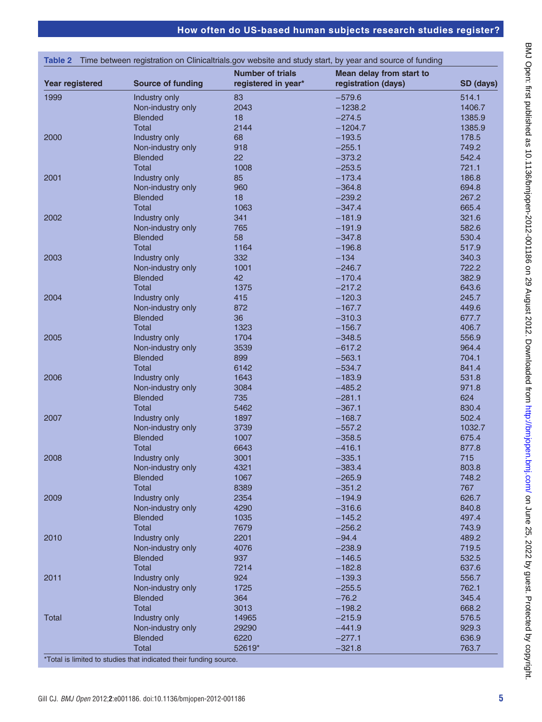|                        |                                                                   |                                                | Table 2 Time between registration on Clinicaltrials.gov website and study start, by year and source of funding |                |  |
|------------------------|-------------------------------------------------------------------|------------------------------------------------|----------------------------------------------------------------------------------------------------------------|----------------|--|
| <b>Year registered</b> | <b>Source of funding</b>                                          | <b>Number of trials</b><br>registered in year* | Mean delay from start to<br>registration (days)                                                                | SD (days)      |  |
| 1999                   | Industry only                                                     | 83                                             | $-579.6$                                                                                                       | 514.1          |  |
|                        | Non-industry only                                                 | 2043                                           | $-1238.2$                                                                                                      | 1406.7         |  |
|                        | <b>Blended</b>                                                    | 18                                             | $-274.5$                                                                                                       | 1385.9         |  |
|                        | <b>Total</b>                                                      | 2144                                           | $-1204.7$                                                                                                      | 1385.9         |  |
| 2000                   | Industry only                                                     | 68                                             | $-193.5$                                                                                                       | 178.5          |  |
|                        | Non-industry only                                                 | 918                                            | $-255.1$                                                                                                       | 749.2          |  |
|                        | <b>Blended</b>                                                    | 22                                             | $-373.2$                                                                                                       | 542.4          |  |
|                        | <b>Total</b>                                                      | 1008                                           | $-253.5$                                                                                                       | 721.1          |  |
| 2001                   | Industry only                                                     | 85                                             | $-173.4$                                                                                                       | 186.8          |  |
|                        | Non-industry only                                                 | 960                                            | $-364.8$                                                                                                       | 694.8          |  |
|                        | <b>Blended</b>                                                    | 18                                             | $-239.2$                                                                                                       | 267.2          |  |
|                        | Total                                                             | 1063                                           | $-347.4$                                                                                                       | 665.4          |  |
| 2002                   | Industry only                                                     | 341                                            | $-181.9$                                                                                                       | 321.6          |  |
|                        | Non-industry only                                                 | 765                                            | $-191.9$                                                                                                       | 582.6          |  |
|                        | <b>Blended</b>                                                    | 58                                             | $-347.8$                                                                                                       | 530.4          |  |
|                        | <b>Total</b>                                                      | 1164                                           | $-196.8$                                                                                                       | 517.9          |  |
| 2003                   | Industry only                                                     | 332                                            | $-134$                                                                                                         | 340.3          |  |
|                        | Non-industry only                                                 | 1001                                           | $-246.7$                                                                                                       | 722.2          |  |
|                        | <b>Blended</b>                                                    | 42                                             | $-170.4$                                                                                                       | 382.9          |  |
|                        | <b>Total</b>                                                      | 1375                                           | $-217.2$                                                                                                       | 643.6          |  |
| 2004                   | Industry only                                                     | 415                                            | $-120.3$                                                                                                       | 245.7          |  |
|                        | Non-industry only                                                 | 872                                            | $-167.7$                                                                                                       | 449.6          |  |
|                        | <b>Blended</b>                                                    | 36                                             | $-310.3$                                                                                                       | 677.7          |  |
|                        | <b>Total</b>                                                      | 1323                                           | $-156.7$                                                                                                       | 406.7          |  |
| 2005                   | Industry only                                                     | 1704                                           | $-348.5$                                                                                                       | 556.9          |  |
|                        | Non-industry only                                                 | 3539                                           | $-617.2$                                                                                                       | 964.4          |  |
|                        | <b>Blended</b>                                                    | 899                                            | $-563.1$                                                                                                       | 704.1          |  |
|                        | <b>Total</b>                                                      | 6142                                           | $-534.7$                                                                                                       | 841.4          |  |
| 2006                   | Industry only                                                     | 1643                                           | $-183.9$                                                                                                       | 531.8          |  |
|                        | Non-industry only                                                 | 3084                                           | $-485.2$                                                                                                       | 971.8          |  |
|                        | <b>Blended</b>                                                    | 735                                            | $-281.1$                                                                                                       | 624            |  |
|                        | <b>Total</b>                                                      | 5462                                           | $-367.1$                                                                                                       | 830.4          |  |
| 2007                   | Industry only                                                     | 1897                                           | $-168.7$                                                                                                       | 502.4          |  |
|                        | Non-industry only                                                 | 3739                                           | $-557.2$                                                                                                       | 1032.7         |  |
|                        | <b>Blended</b>                                                    | 1007                                           | $-358.5$                                                                                                       | 675.4          |  |
|                        | Total                                                             | 6643                                           | $-416.1$                                                                                                       | 877.8          |  |
| 2008                   | Industry only                                                     | 3001                                           | $-335.1$                                                                                                       | 715            |  |
|                        | Non-industry only                                                 | 4321                                           | $-383.4$                                                                                                       | 803.8          |  |
|                        | <b>Blended</b>                                                    | 1067                                           | $-265.9$                                                                                                       | 748.2          |  |
| 2009                   | Total                                                             | 8389                                           | $-351.2$                                                                                                       | 767            |  |
|                        | Industry only                                                     | 2354                                           | $-194.9$                                                                                                       | 626.7          |  |
|                        | Non-industry only<br><b>Blended</b>                               | 4290<br>1035                                   | $-316.6$<br>$-145.2$                                                                                           | 840.8<br>497.4 |  |
|                        | <b>Total</b>                                                      | 7679                                           | $-256.2$                                                                                                       | 743.9          |  |
| 2010                   | Industry only                                                     | 2201                                           | $-94.4$                                                                                                        | 489.2          |  |
|                        | Non-industry only                                                 | 4076                                           | $-238.9$                                                                                                       | 719.5          |  |
|                        | <b>Blended</b>                                                    | 937                                            | $-146.5$                                                                                                       | 532.5          |  |
|                        | <b>Total</b>                                                      | 7214                                           | $-182.8$                                                                                                       | 637.6          |  |
| 2011                   | Industry only                                                     | 924                                            | $-139.3$                                                                                                       | 556.7          |  |
|                        | Non-industry only                                                 | 1725                                           | $-255.5$                                                                                                       | 762.1          |  |
|                        | <b>Blended</b>                                                    | 364                                            | $-76.2$                                                                                                        | 345.4          |  |
|                        | Total                                                             | 3013                                           | $-198.2$                                                                                                       | 668.2          |  |
| Total                  | Industry only                                                     | 14965                                          | $-215.9$                                                                                                       | 576.5          |  |
|                        | Non-industry only                                                 | 29290                                          | $-441.9$                                                                                                       | 929.3          |  |
|                        | <b>Blended</b>                                                    | 6220                                           | $-277.1$                                                                                                       | 636.9          |  |
|                        | <b>Total</b>                                                      | 52619*                                         | $-321.8$                                                                                                       | 763.7          |  |
|                        | *Total is limited to studies that indicated their funding source. |                                                |                                                                                                                |                |  |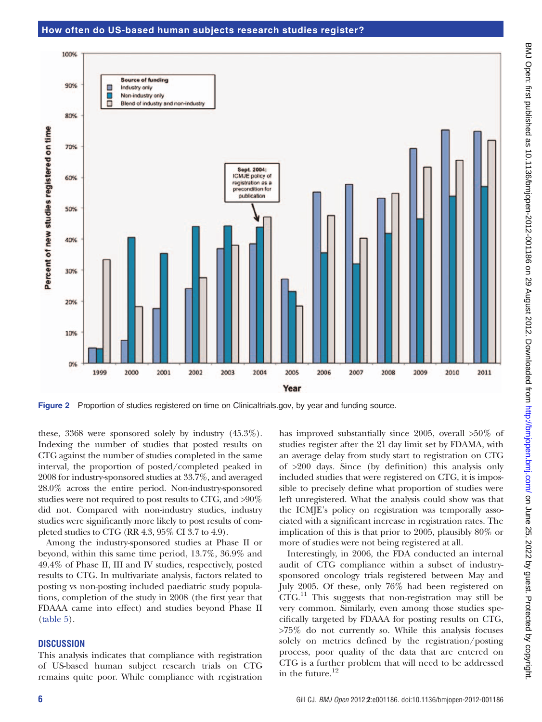

Figure 2 Proportion of studies registered on time on Clinicaltrials.gov, by year and funding source.

these, 3368 were sponsored solely by industry (45.3%). Indexing the number of studies that posted results on CTG against the number of studies completed in the same interval, the proportion of posted/completed peaked in 2008 for industry-sponsored studies at 33.7%, and averaged 28.0% across the entire period. Non-industry-sponsored studies were not required to post results to CTG, and >90% did not. Compared with non-industry studies, industry studies were significantly more likely to post results of completed studies to CTG (RR 4.3, 95% CI 3.7 to 4.9).

Among the industry-sponsored studies at Phase II or beyond, within this same time period, 13.7%, 36.9% and 49.4% of Phase II, III and IV studies, respectively, posted results to CTG. In multivariate analysis, factors related to posting vs non-posting included paediatric study populations, completion of the study in 2008 (the first year that FDAAA came into effect) and studies beyond Phase II (table 5).

## **DISCUSSION**

This analysis indicates that compliance with registration of US-based human subject research trials on CTG remains quite poor. While compliance with registration

has improved substantially since 2005, overall >50% of studies register after the 21 day limit set by FDAMA, with an average delay from study start to registration on CTG of >200 days. Since (by definition) this analysis only included studies that were registered on CTG, it is impossible to precisely define what proportion of studies were left unregistered. What the analysis could show was that the ICMJE's policy on registration was temporally associated with a significant increase in registration rates. The implication of this is that prior to 2005, plausibly 80% or more of studies were not being registered at all.

Interestingly, in 2006, the FDA conducted an internal audit of CTG compliance within a subset of industrysponsored oncology trials registered between May and July 2005. Of these, only 76% had been registered on  $CTG<sup>11</sup>$  This suggests that non-registration may still be very common. Similarly, even among those studies specifically targeted by FDAAA for posting results on CTG, >75% do not currently so. While this analysis focuses solely on metrics defined by the registration/posting process, poor quality of the data that are entered on CTG is a further problem that will need to be addressed in the future. $^{12}$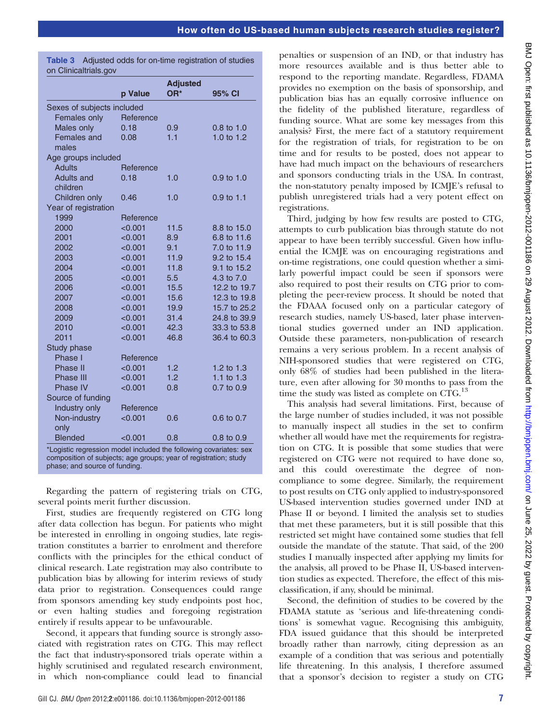Table 3 Adjusted odds for on-time registration of studies on Clinicaltrials.gov

|                                                                                                                                                                        |           | <b>Adjusted</b> |                       |
|------------------------------------------------------------------------------------------------------------------------------------------------------------------------|-----------|-----------------|-----------------------|
|                                                                                                                                                                        | p Value   | OR*             | 95% CI                |
| Sexes of subjects included                                                                                                                                             |           |                 |                       |
| Females only                                                                                                                                                           | Reference |                 |                       |
| Males only                                                                                                                                                             | 0.18      | 0.9             | $0.8 \text{ to } 1.0$ |
| Females and                                                                                                                                                            | 0.08      | 1.1             | 1.0 to 1.2            |
| males                                                                                                                                                                  |           |                 |                       |
| Age groups included                                                                                                                                                    |           |                 |                       |
| <b>Adults</b>                                                                                                                                                          | Reference |                 |                       |
| Adults and                                                                                                                                                             | 0.18      | 1.0             | $0.9 \text{ to } 1.0$ |
| children                                                                                                                                                               |           |                 |                       |
| Children only                                                                                                                                                          | 0.46      | 1.0             | $0.9 \text{ to } 1.1$ |
| Year of registration                                                                                                                                                   |           |                 |                       |
| 1999                                                                                                                                                                   | Reference |                 |                       |
| 2000                                                                                                                                                                   | < 0.001   | 11.5            | 8.8 to 15.0           |
| 2001                                                                                                                                                                   | < 0.001   | 8.9             | 6.8 to 11.6           |
| 2002                                                                                                                                                                   | < 0.001   | 9.1             | 7.0 to 11.9           |
| 2003                                                                                                                                                                   | < 0.001   | 11.9            | 9.2 to 15.4           |
| 2004                                                                                                                                                                   | < 0.001   | 11.8            | 9.1 to 15.2           |
| 2005                                                                                                                                                                   | < 0.001   | 5.5             | 4.3 to 7.0            |
| 2006                                                                                                                                                                   | < 0.001   | 15.5            | 12.2 to 19.7          |
| 2007                                                                                                                                                                   | < 0.001   | 15.6            | 12.3 to 19.8          |
| 2008                                                                                                                                                                   | < 0.001   | 19.9            | 15.7 to 25.2          |
| 2009                                                                                                                                                                   | < 0.001   | 31.4            | 24.8 to 39.9          |
| 2010                                                                                                                                                                   | < 0.001   | 42.3            | 33.3 to 53.8          |
| 2011                                                                                                                                                                   | < 0.001   | 46.8            | 36.4 to 60.3          |
| Study phase                                                                                                                                                            |           |                 |                       |
| Phase I                                                                                                                                                                | Reference |                 |                       |
| Phase II                                                                                                                                                               | < 0.001   | 1.2             | 1.2 to 1.3            |
| Phase III                                                                                                                                                              | < 0.001   | 1.2             | 1.1 to $1.3$          |
| Phase IV                                                                                                                                                               | < 0.001   | 0.8             | $0.7$ to $0.9$        |
| Source of funding                                                                                                                                                      |           |                 |                       |
| Industry only                                                                                                                                                          | Reference |                 |                       |
| Non-industry                                                                                                                                                           | < 0.001   | 0.6             | 0.6 to 0.7            |
| only                                                                                                                                                                   |           |                 |                       |
| <b>Blended</b>                                                                                                                                                         | < 0.001   | 0.8             | $0.8 \text{ to } 0.9$ |
| *Logistic regression model included the following covariates: sex<br>composition of subjects; age groups; year of registration; study<br>phase; and source of funding. |           |                 |                       |

Regarding the pattern of registering trials on CTG, several points merit further discussion.

First, studies are frequently registered on CTG long after data collection has begun. For patients who might be interested in enrolling in ongoing studies, late registration constitutes a barrier to enrolment and therefore conflicts with the principles for the ethical conduct of clinical research. Late registration may also contribute to publication bias by allowing for interim reviews of study data prior to registration. Consequences could range from sponsors amending key study endpoints post hoc, or even halting studies and foregoing registration entirely if results appear to be unfavourable.

Second, it appears that funding source is strongly associated with registration rates on CTG. This may reflect the fact that industry-sponsored trials operate within a highly scrutinised and regulated research environment, in which non-compliance could lead to financial

penalties or suspension of an IND, or that industry has more resources available and is thus better able to respond to the reporting mandate. Regardless, FDAMA provides no exemption on the basis of sponsorship, and publication bias has an equally corrosive influence on the fidelity of the published literature, regardless of funding source. What are some key messages from this analysis? First, the mere fact of a statutory requirement for the registration of trials, for registration to be on time and for results to be posted, does not appear to have had much impact on the behaviours of researchers and sponsors conducting trials in the USA. In contrast, the non-statutory penalty imposed by ICMJE's refusal to publish unregistered trials had a very potent effect on registrations.

Third, judging by how few results are posted to CTG, attempts to curb publication bias through statute do not appear to have been terribly successful. Given how influential the ICMJE was on encouraging registrations and on-time registrations, one could question whether a similarly powerful impact could be seen if sponsors were also required to post their results on CTG prior to completing the peer-review process. It should be noted that the FDAAA focused only on a particular category of research studies, namely US-based, later phase interventional studies governed under an IND application. Outside these parameters, non-publication of research remains a very serious problem. In a recent analysis of NIH-sponsored studies that were registered on CTG, only 68% of studies had been published in the literature, even after allowing for 30 months to pass from the time the study was listed as complete on  $CTG<sup>13</sup>$ .

This analysis had several limitations. First, because of the large number of studies included, it was not possible to manually inspect all studies in the set to confirm whether all would have met the requirements for registration on CTG. It is possible that some studies that were registered on CTG were not required to have done so, and this could overestimate the degree of noncompliance to some degree. Similarly, the requirement to post results on CTG only applied to industry-sponsored US-based intervention studies governed under IND at Phase II or beyond. I limited the analysis set to studies that met these parameters, but it is still possible that this restricted set might have contained some studies that fell outside the mandate of the statute. That said, of the 200 studies I manually inspected after applying my limits for the analysis, all proved to be Phase II, US-based intervention studies as expected. Therefore, the effect of this misclassification, if any, should be minimal.

Second, the definition of studies to be covered by the FDAMA statute as 'serious and life-threatening conditions' is somewhat vague. Recognising this ambiguity, FDA issued guidance that this should be interpreted broadly rather than narrowly, citing depression as an example of a condition that was serious and potentially life threatening. In this analysis, I therefore assumed that a sponsor's decision to register a study on CTG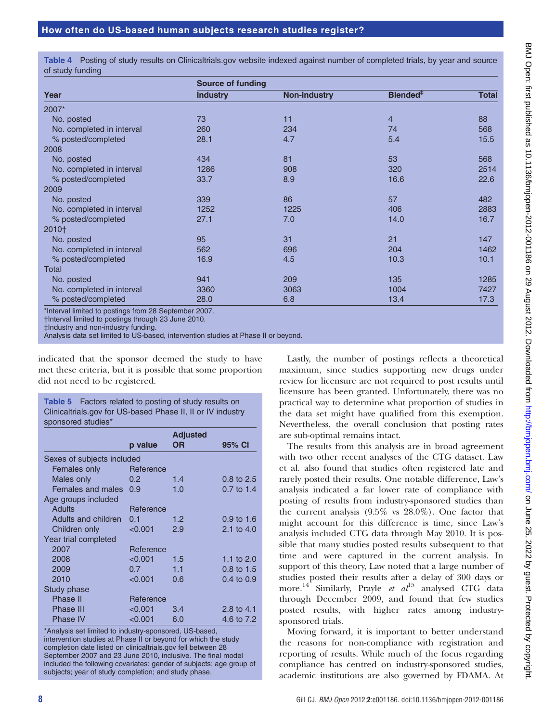Table 4 Posting of study results on Clinicaltrials.gov website indexed against number of completed trials, by year and source of study funding

|                           | <b>Source of funding</b> |                     |                      |              |  |
|---------------------------|--------------------------|---------------------|----------------------|--------------|--|
| Year                      | <b>Industry</b>          | <b>Non-industry</b> | Blended <sup>#</sup> | <b>Total</b> |  |
| 2007*                     |                          |                     |                      |              |  |
| No. posted                | 73                       | 11                  | 4                    | 88           |  |
| No. completed in interval | 260                      | 234                 | 74                   | 568          |  |
| % posted/completed        | 28.1                     | 4.7                 | 5.4                  | 15.5         |  |
| 2008                      |                          |                     |                      |              |  |
| No. posted                | 434                      | 81                  | 53                   | 568          |  |
| No. completed in interval | 1286                     | 908                 | 320                  | 2514         |  |
| % posted/completed        | 33.7                     | 8.9                 | 16.6                 | 22.6         |  |
| 2009                      |                          |                     |                      |              |  |
| No. posted                | 339                      | 86                  | 57                   | 482          |  |
| No. completed in interval | 1252                     | 1225                | 406                  | 2883         |  |
| % posted/completed        | 27.1                     | 7.0                 | 14.0                 | 16.7         |  |
| 2010+                     |                          |                     |                      |              |  |
| No. posted                | 95                       | 31                  | 21                   | 147          |  |
| No. completed in interval | 562                      | 696                 | 204                  | 1462         |  |
| % posted/completed        | 16.9                     | 4.5                 | 10.3                 | 10.1         |  |
| Total                     |                          |                     |                      |              |  |
| No. posted                | 941                      | 209                 | 135                  | 1285         |  |
| No. completed in interval | 3360                     | 3063                | 1004                 | 7427         |  |
| % posted/completed        | 28.0                     | 6.8                 | 13.4                 | 17.3         |  |

\*Interval limited to postings from 28 September 2007.

†Interval limited to postings through 23 June 2010.

‡Industry and non-industry funding.

Analysis data set limited to US-based, intervention studies at Phase II or beyond.

indicated that the sponsor deemed the study to have met these criteria, but it is possible that some proportion did not need to be registered.

Table 5 Factors related to posting of study results on Clinicaltrials.gov for US-based Phase II, II or IV industry sponsored studies\*

|                            |                  | <b>Adjusted</b> |                       |
|----------------------------|------------------|-----------------|-----------------------|
|                            | p value          | <b>OR</b>       | 95% CI                |
| Sexes of subjects included |                  |                 |                       |
| Females only               | Reference        |                 |                       |
| Males only                 | 0.2 <sub>0</sub> | 1.4             | 0.8 to 2.5            |
| Females and males          | 0.9              | 1.0             | $0.7$ to 1.4          |
| Age groups included        |                  |                 |                       |
| Adults                     | Reference        |                 |                       |
| Adults and children        | 0.1              | 1.2             | $0.9 \text{ to } 1.6$ |
| Children only              | < 0.001          | 2.9             | 2.1 to 4.0            |
| Year trial completed       |                  |                 |                       |
| 2007                       | Reference        |                 |                       |
| 2008                       | < 0.001          | 1.5             | 1.1 to $2.0$          |
| 2009                       | 0.7              | 1.1             | $0.8 \text{ to } 1.5$ |
| 2010                       | < 0.001          | 0.6             | $0.4 \text{ to } 0.9$ |
| Study phase                |                  |                 |                       |
| Phase II                   | Reference        |                 |                       |
| <b>Phase III</b>           | < 0.001          | 3.4             | 2.8 to 4.1            |
| <b>Phase IV</b>            | < 0.001          | 6.0             | 4.6 to 7.2            |

\*Analysis set limited to industry-sponsored, US-based, intervention studies at Phase II or beyond for which the study completion date listed on clinicaltrials.gov fell between 28 September 2007 and 23 June 2010, inclusive. The final model included the following covariates: gender of subjects; age group of subjects; year of study completion; and study phase.

Lastly, the number of postings reflects a theoretical maximum, since studies supporting new drugs under review for licensure are not required to post results until licensure has been granted. Unfortunately, there was no practical way to determine what proportion of studies in the data set might have qualified from this exemption. Nevertheless, the overall conclusion that posting rates are sub-optimal remains intact.

The results from this analysis are in broad agreement with two other recent analyses of the CTG dataset. Law et al. also found that studies often registered late and rarely posted their results. One notable difference, Law's analysis indicated a far lower rate of compliance with posting of results from industry-sponsored studies than the current analysis  $(9.5\% \text{ vs } 28.0\%)$ . One factor that might account for this difference is time, since Law's analysis included CTG data through May 2010. It is possible that many studies posted results subsequent to that time and were captured in the current analysis. In support of this theory, Law noted that a large number of studies posted their results after a delay of 300 days or more.<sup>14</sup> Similarly, Prayle et  $al^{15}$  analysed CTG data through December 2009, and found that few studies posted results, with higher rates among industrysponsored trials.

Moving forward, it is important to better understand the reasons for non-compliance with registration and reporting of results. While much of the focus regarding compliance has centred on industry-sponsored studies, academic institutions are also governed by FDAMA. At